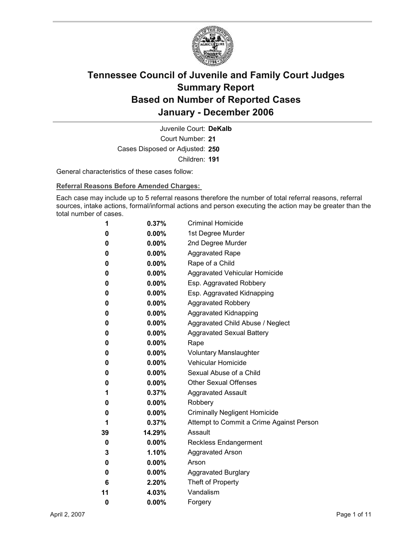

Court Number: **21** Juvenile Court: **DeKalb** Cases Disposed or Adjusted: **250** Children: **191**

General characteristics of these cases follow:

**Referral Reasons Before Amended Charges:** 

Each case may include up to 5 referral reasons therefore the number of total referral reasons, referral sources, intake actions, formal/informal actions and person executing the action may be greater than the total number of cases.

| 1  | 0.37%    | <b>Criminal Homicide</b>                 |
|----|----------|------------------------------------------|
| 0  | $0.00\%$ | 1st Degree Murder                        |
| 0  | $0.00\%$ | 2nd Degree Murder                        |
| 0  | $0.00\%$ | <b>Aggravated Rape</b>                   |
| 0  | $0.00\%$ | Rape of a Child                          |
| 0  | $0.00\%$ | Aggravated Vehicular Homicide            |
| 0  | $0.00\%$ | Esp. Aggravated Robbery                  |
| 0  | $0.00\%$ | Esp. Aggravated Kidnapping               |
| 0  | $0.00\%$ | <b>Aggravated Robbery</b>                |
| 0  | $0.00\%$ | <b>Aggravated Kidnapping</b>             |
| 0  | $0.00\%$ | Aggravated Child Abuse / Neglect         |
| 0  | $0.00\%$ | <b>Aggravated Sexual Battery</b>         |
| 0  | $0.00\%$ | Rape                                     |
| 0  | $0.00\%$ | <b>Voluntary Manslaughter</b>            |
| 0  | $0.00\%$ | <b>Vehicular Homicide</b>                |
| 0  | $0.00\%$ | Sexual Abuse of a Child                  |
| 0  | $0.00\%$ | <b>Other Sexual Offenses</b>             |
| 1  | 0.37%    | <b>Aggravated Assault</b>                |
| 0  | $0.00\%$ | Robbery                                  |
| 0  | $0.00\%$ | <b>Criminally Negligent Homicide</b>     |
| 1  | $0.37\%$ | Attempt to Commit a Crime Against Person |
| 39 | 14.29%   | Assault                                  |
| 0  | $0.00\%$ | <b>Reckless Endangerment</b>             |
| 3  | 1.10%    | <b>Aggravated Arson</b>                  |
| 0  | $0.00\%$ | Arson                                    |
| 0  | $0.00\%$ | <b>Aggravated Burglary</b>               |
| 6  | 2.20%    | Theft of Property                        |
| 11 | 4.03%    | Vandalism                                |
| 0  | 0.00%    | Forgery                                  |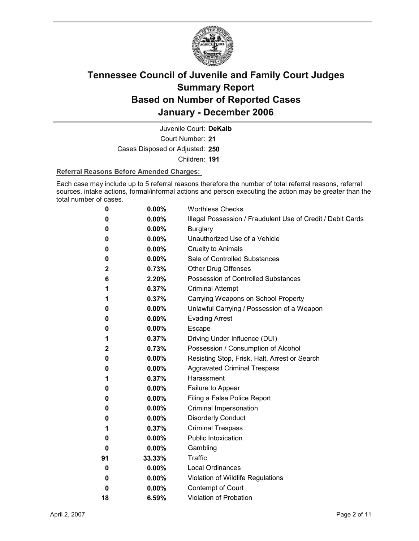

Court Number: **21** Juvenile Court: **DeKalb**

Cases Disposed or Adjusted: **250**

Children: **191**

#### **Referral Reasons Before Amended Charges:**

Each case may include up to 5 referral reasons therefore the number of total referral reasons, referral sources, intake actions, formal/informal actions and person executing the action may be greater than the total number of cases.

| 0            | 0.00%    | <b>Worthless Checks</b>                                     |
|--------------|----------|-------------------------------------------------------------|
| 0            | 0.00%    | Illegal Possession / Fraudulent Use of Credit / Debit Cards |
| 0            | 0.00%    | <b>Burglary</b>                                             |
| 0            | $0.00\%$ | Unauthorized Use of a Vehicle                               |
| 0            | $0.00\%$ | <b>Cruelty to Animals</b>                                   |
| 0            | $0.00\%$ | Sale of Controlled Substances                               |
| 2            | 0.73%    | <b>Other Drug Offenses</b>                                  |
| 6            | 2.20%    | Possession of Controlled Substances                         |
| 1            | 0.37%    | <b>Criminal Attempt</b>                                     |
| 1            | 0.37%    | Carrying Weapons on School Property                         |
| 0            | 0.00%    | Unlawful Carrying / Possession of a Weapon                  |
| 0            | $0.00\%$ | <b>Evading Arrest</b>                                       |
| 0            | 0.00%    | <b>Escape</b>                                               |
| 1            | 0.37%    | Driving Under Influence (DUI)                               |
| $\mathbf{2}$ | 0.73%    | Possession / Consumption of Alcohol                         |
| 0            | $0.00\%$ | Resisting Stop, Frisk, Halt, Arrest or Search               |
| 0            | $0.00\%$ | <b>Aggravated Criminal Trespass</b>                         |
| 1            | 0.37%    | Harassment                                                  |
| 0            | 0.00%    | Failure to Appear                                           |
| 0            | $0.00\%$ | Filing a False Police Report                                |
| 0            | 0.00%    | Criminal Impersonation                                      |
| 0            | $0.00\%$ | <b>Disorderly Conduct</b>                                   |
| 1            | 0.37%    | <b>Criminal Trespass</b>                                    |
| 0            | $0.00\%$ | <b>Public Intoxication</b>                                  |
| 0            | $0.00\%$ | Gambling                                                    |
| 91           | 33.33%   | Traffic                                                     |
| 0            | $0.00\%$ | <b>Local Ordinances</b>                                     |
| 0            | 0.00%    | Violation of Wildlife Regulations                           |
| 0            | 0.00%    | Contempt of Court                                           |
| 18           | 6.59%    | Violation of Probation                                      |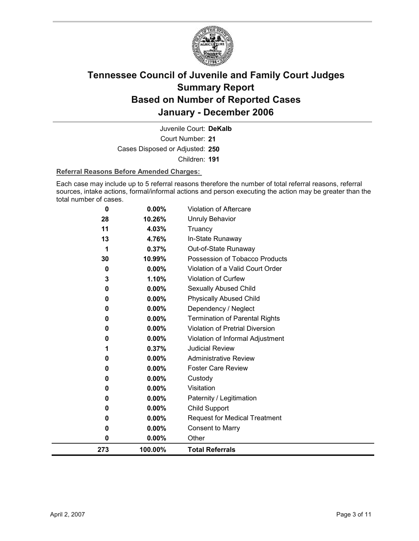

Court Number: **21** Juvenile Court: **DeKalb** Cases Disposed or Adjusted: **250** Children: **191**

#### **Referral Reasons Before Amended Charges:**

Each case may include up to 5 referral reasons therefore the number of total referral reasons, referral sources, intake actions, formal/informal actions and person executing the action may be greater than the total number of cases.

| 0   | 0.00%    | <b>Violation of Aftercare</b>          |
|-----|----------|----------------------------------------|
| 28  | 10.26%   | <b>Unruly Behavior</b>                 |
| 11  | 4.03%    | Truancy                                |
| 13  | 4.76%    | In-State Runaway                       |
| 1   | 0.37%    | Out-of-State Runaway                   |
| 30  | 10.99%   | Possession of Tobacco Products         |
| 0   | 0.00%    | Violation of a Valid Court Order       |
| 3   | 1.10%    | Violation of Curfew                    |
| 0   | 0.00%    | Sexually Abused Child                  |
| 0   | $0.00\%$ | <b>Physically Abused Child</b>         |
| 0   | 0.00%    | Dependency / Neglect                   |
| 0   | 0.00%    | <b>Termination of Parental Rights</b>  |
| 0   | 0.00%    | <b>Violation of Pretrial Diversion</b> |
| 0   | 0.00%    | Violation of Informal Adjustment       |
| 1   | 0.37%    | <b>Judicial Review</b>                 |
| 0   | 0.00%    | <b>Administrative Review</b>           |
| 0   | $0.00\%$ | <b>Foster Care Review</b>              |
| 0   | 0.00%    | Custody                                |
| 0   | 0.00%    | Visitation                             |
| 0   | 0.00%    | Paternity / Legitimation               |
| 0   | 0.00%    | Child Support                          |
| 0   | 0.00%    | <b>Request for Medical Treatment</b>   |
| 0   | 0.00%    | <b>Consent to Marry</b>                |
| 0   | 0.00%    | Other                                  |
| 273 | 100.00%  | <b>Total Referrals</b>                 |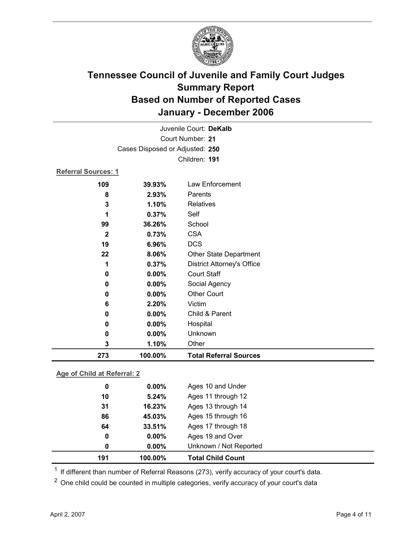

|                            | Juvenile Court: DeKalb          |                                   |  |  |
|----------------------------|---------------------------------|-----------------------------------|--|--|
|                            | Court Number: 21                |                                   |  |  |
|                            | Cases Disposed or Adjusted: 250 |                                   |  |  |
|                            |                                 | Children: 191                     |  |  |
| <b>Referral Sources: 1</b> |                                 |                                   |  |  |
| 109                        | 39.93%                          | Law Enforcement                   |  |  |
| 8                          | 2.93%                           | Parents                           |  |  |
| 3                          | 1.10%                           | <b>Relatives</b>                  |  |  |
| 1                          | 0.37%                           | Self                              |  |  |
| 99                         | 36.26%                          | School                            |  |  |
| $\overline{\mathbf{2}}$    | 0.73%                           | <b>CSA</b>                        |  |  |
| 19                         | 6.96%                           | <b>DCS</b>                        |  |  |
| 22                         | 8.06%                           | Other State Department            |  |  |
| 1                          | 0.37%                           | <b>District Attorney's Office</b> |  |  |
| 0                          | 0.00%                           | <b>Court Staff</b>                |  |  |
| 0                          | 0.00%                           | Social Agency                     |  |  |
| 0                          | 0.00%                           | <b>Other Court</b>                |  |  |
| 6                          | 2.20%                           | Victim                            |  |  |
| 0                          | 0.00%                           | Child & Parent                    |  |  |
| 0                          | 0.00%                           | Hospital                          |  |  |
| 0                          | $0.00\%$                        | Unknown                           |  |  |
| 3                          | 1.10%                           | Other                             |  |  |
| 273                        | 100.00%                         | <b>Total Referral Sources</b>     |  |  |
|                            |                                 |                                   |  |  |

### **Age of Child at Referral: 2**

| 191 | 100.00%  | <b>Total Child Count</b> |
|-----|----------|--------------------------|
| 0   | $0.00\%$ | Unknown / Not Reported   |
| 0   | $0.00\%$ | Ages 19 and Over         |
| 64  | 33.51%   | Ages 17 through 18       |
| 86  | 45.03%   | Ages 15 through 16       |
| 31  | 16.23%   | Ages 13 through 14       |
| 10  | 5.24%    | Ages 11 through 12       |
| 0   | $0.00\%$ | Ages 10 and Under        |
|     |          |                          |

<sup>1</sup> If different than number of Referral Reasons (273), verify accuracy of your court's data.

<sup>2</sup> One child could be counted in multiple categories, verify accuracy of your court's data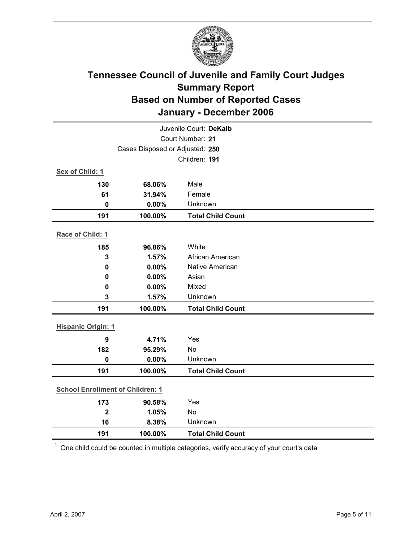

| Juvenile Court: DeKalb                  |                                 |                          |  |  |
|-----------------------------------------|---------------------------------|--------------------------|--|--|
| Court Number: 21                        |                                 |                          |  |  |
|                                         | Cases Disposed or Adjusted: 250 |                          |  |  |
|                                         |                                 | Children: 191            |  |  |
| Sex of Child: 1                         |                                 |                          |  |  |
| 130                                     | 68.06%                          | Male                     |  |  |
| 61                                      | 31.94%                          | Female                   |  |  |
| $\mathbf 0$                             | 0.00%                           | Unknown                  |  |  |
| 191                                     | 100.00%                         | <b>Total Child Count</b> |  |  |
| Race of Child: 1                        |                                 |                          |  |  |
| 185                                     | 96.86%                          | White                    |  |  |
| 3                                       | 1.57%                           | African American         |  |  |
| $\mathbf 0$                             | 0.00%                           | <b>Native American</b>   |  |  |
| 0                                       | 0.00%                           | Asian                    |  |  |
| 0                                       | 0.00%                           | Mixed                    |  |  |
| 3                                       | 1.57%                           | Unknown                  |  |  |
| 191                                     | 100.00%                         | <b>Total Child Count</b> |  |  |
| <b>Hispanic Origin: 1</b>               |                                 |                          |  |  |
| 9                                       | 4.71%                           | Yes                      |  |  |
| 182                                     | 95.29%                          | No                       |  |  |
| $\mathbf 0$                             | 0.00%                           | Unknown                  |  |  |
| 191                                     | 100.00%                         | <b>Total Child Count</b> |  |  |
| <b>School Enrollment of Children: 1</b> |                                 |                          |  |  |
| 173                                     | 90.58%                          | Yes                      |  |  |
| $\overline{\mathbf{2}}$                 | 1.05%                           | No                       |  |  |
| 16                                      | 8.38%                           | Unknown                  |  |  |
| 191                                     | 100.00%                         | <b>Total Child Count</b> |  |  |

 $1$  One child could be counted in multiple categories, verify accuracy of your court's data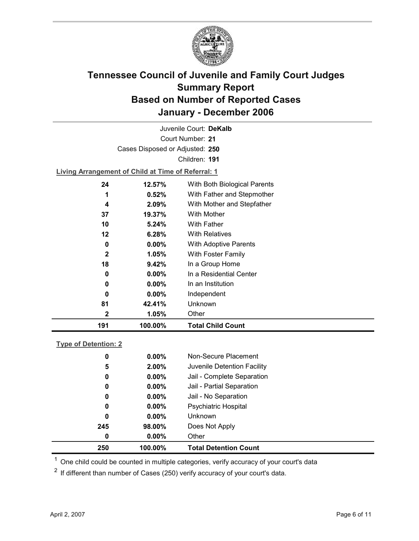

Court Number: **21** Juvenile Court: **DeKalb** Cases Disposed or Adjusted: **250** Children: **191**

**Living Arrangement of Child at Time of Referral: 1**

| 191 | 100.00%  | <b>Total Child Count</b>     |
|-----|----------|------------------------------|
| 2   | 1.05%    | Other                        |
| 81  | 42.41%   | Unknown                      |
| 0   | $0.00\%$ | Independent                  |
| 0   | $0.00\%$ | In an Institution            |
| 0   | $0.00\%$ | In a Residential Center      |
| 18  | 9.42%    | In a Group Home              |
| 2   | 1.05%    | With Foster Family           |
| 0   | $0.00\%$ | <b>With Adoptive Parents</b> |
| 12  | 6.28%    | <b>With Relatives</b>        |
| 10  | 5.24%    | <b>With Father</b>           |
| 37  | 19.37%   | With Mother                  |
| 4   | 2.09%    | With Mother and Stepfather   |
| 1   | 0.52%    | With Father and Stepmother   |
| 24  | 12.57%   | With Both Biological Parents |
|     |          |                              |

### **Type of Detention: 2**

| 250 | 100.00%  | <b>Total Detention Count</b> |
|-----|----------|------------------------------|
| 0   | $0.00\%$ | Other                        |
| 245 | 98.00%   | Does Not Apply               |
| 0   | $0.00\%$ | <b>Unknown</b>               |
| 0   | $0.00\%$ | Psychiatric Hospital         |
| 0   | $0.00\%$ | Jail - No Separation         |
| 0   | $0.00\%$ | Jail - Partial Separation    |
| 0   | $0.00\%$ | Jail - Complete Separation   |
| 5   | 2.00%    | Juvenile Detention Facility  |
| 0   | $0.00\%$ | Non-Secure Placement         |
|     |          |                              |

 $<sup>1</sup>$  One child could be counted in multiple categories, verify accuracy of your court's data</sup>

 $2$  If different than number of Cases (250) verify accuracy of your court's data.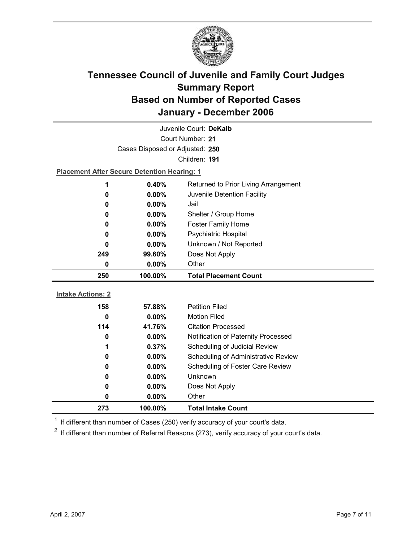

| Juvenile Court: DeKalb   |                                                    |                                             |  |  |
|--------------------------|----------------------------------------------------|---------------------------------------------|--|--|
| Court Number: 21         |                                                    |                                             |  |  |
|                          | Cases Disposed or Adjusted: 250                    |                                             |  |  |
|                          |                                                    | Children: 191                               |  |  |
|                          | <b>Placement After Secure Detention Hearing: 1</b> |                                             |  |  |
| 1                        | 0.40%                                              | Returned to Prior Living Arrangement        |  |  |
| $\bf{0}$                 | 0.00%                                              | Juvenile Detention Facility                 |  |  |
| 0                        | $0.00\%$                                           | Jail                                        |  |  |
| 0                        | 0.00%                                              | Shelter / Group Home                        |  |  |
| $\bf{0}$                 | $0.00\%$                                           | <b>Foster Family Home</b>                   |  |  |
| 0                        | $0.00\%$                                           | <b>Psychiatric Hospital</b>                 |  |  |
| 0                        | $0.00\%$                                           | Unknown / Not Reported                      |  |  |
| 249                      | 99.60%                                             | Does Not Apply                              |  |  |
| 0                        | $0.00\%$                                           | Other                                       |  |  |
|                          |                                                    |                                             |  |  |
| 250                      | 100.00%                                            | <b>Total Placement Count</b>                |  |  |
|                          |                                                    |                                             |  |  |
| <b>Intake Actions: 2</b> |                                                    |                                             |  |  |
| 158                      | 57.88%                                             | <b>Petition Filed</b>                       |  |  |
| $\mathbf 0$              | $0.00\%$                                           | <b>Motion Filed</b>                         |  |  |
| 114                      | 41.76%                                             | <b>Citation Processed</b>                   |  |  |
| $\bf{0}$                 | 0.00%                                              | Notification of Paternity Processed         |  |  |
| 1<br>$\bf{0}$            | 0.37%                                              | Scheduling of Judicial Review               |  |  |
| $\bf{0}$                 | 0.00%                                              | Scheduling of Administrative Review         |  |  |
| 0                        | 0.00%<br>$0.00\%$                                  | Scheduling of Foster Care Review<br>Unknown |  |  |
| 0                        | $0.00\%$                                           |                                             |  |  |
| 0                        | 0.00%                                              | Does Not Apply<br>Other                     |  |  |

 $1$  If different than number of Cases (250) verify accuracy of your court's data.

 $2$  If different than number of Referral Reasons (273), verify accuracy of your court's data.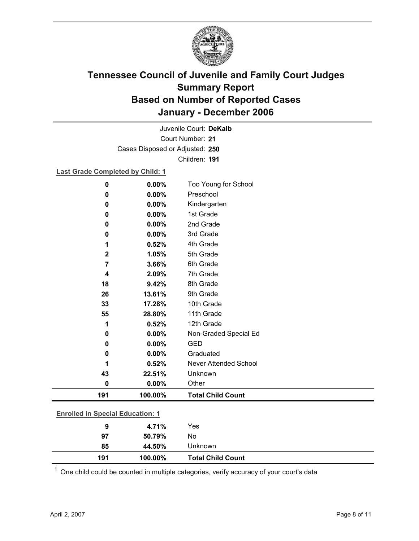

Court Number: **21** Juvenile Court: **DeKalb** Cases Disposed or Adjusted: **250** Children: **191**

#### **Last Grade Completed by Child: 1**

| 0                                       | 0.00%    | Too Young for School         |  |
|-----------------------------------------|----------|------------------------------|--|
| 0                                       | 0.00%    | Preschool                    |  |
| 0                                       | 0.00%    | Kindergarten                 |  |
| 0                                       | 0.00%    | 1st Grade                    |  |
| 0                                       | 0.00%    | 2nd Grade                    |  |
| 0                                       | 0.00%    | 3rd Grade                    |  |
| 1                                       | 0.52%    | 4th Grade                    |  |
| $\mathbf 2$                             | 1.05%    | 5th Grade                    |  |
| 7                                       | 3.66%    | 6th Grade                    |  |
| 4                                       | 2.09%    | 7th Grade                    |  |
| 18                                      | 9.42%    | 8th Grade                    |  |
| 26                                      | 13.61%   | 9th Grade                    |  |
| 33                                      | 17.28%   | 10th Grade                   |  |
| 55                                      | 28.80%   | 11th Grade                   |  |
| 1                                       | 0.52%    | 12th Grade                   |  |
| 0                                       | 0.00%    | Non-Graded Special Ed        |  |
| 0                                       | $0.00\%$ | <b>GED</b>                   |  |
| 0                                       | 0.00%    | Graduated                    |  |
|                                         | 0.52%    | <b>Never Attended School</b> |  |
| 43                                      | 22.51%   | Unknown                      |  |
| 0                                       | 0.00%    | Other                        |  |
| 191                                     | 100.00%  | <b>Total Child Count</b>     |  |
| <b>Enrolled in Special Education: 1</b> |          |                              |  |
|                                         |          |                              |  |
| $\boldsymbol{9}$                        | 4.71%    | Yes                          |  |
| 97                                      | 50.79%   | No                           |  |

 $1$  One child could be counted in multiple categories, verify accuracy of your court's data

**85 44.50%** Unknown

**191 100.00% Total Child Count**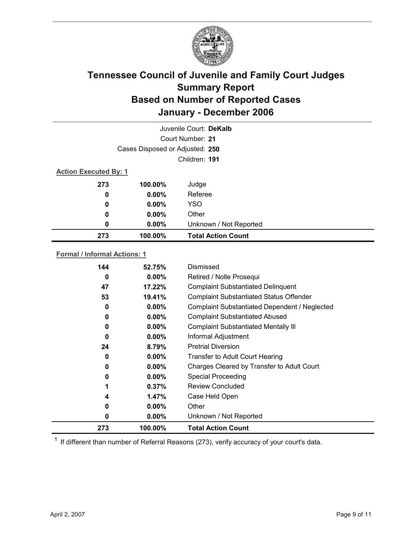

|     | Juvenile Court: DeKalb          |                           |  |  |
|-----|---------------------------------|---------------------------|--|--|
|     | Court Number: 21                |                           |  |  |
|     | Cases Disposed or Adjusted: 250 |                           |  |  |
|     | Children: 191                   |                           |  |  |
|     | <b>Action Executed By: 1</b>    |                           |  |  |
| 273 | 100.00%                         | Judge                     |  |  |
| 0   | $0.00\%$                        | Referee                   |  |  |
| 0   | $0.00\%$                        | <b>YSO</b>                |  |  |
| 0   | $0.00\%$                        | Other                     |  |  |
| 0   | $0.00\%$                        | Unknown / Not Reported    |  |  |
| 273 | 100.00%                         | <b>Total Action Count</b> |  |  |

### **Formal / Informal Actions: 1**

| 144 | 52.75%   | Dismissed                                      |
|-----|----------|------------------------------------------------|
| 0   | $0.00\%$ | Retired / Nolle Prosequi                       |
| 47  | 17.22%   | <b>Complaint Substantiated Delinquent</b>      |
| 53  | 19.41%   | <b>Complaint Substantiated Status Offender</b> |
| 0   | $0.00\%$ | Complaint Substantiated Dependent / Neglected  |
| 0   | $0.00\%$ | <b>Complaint Substantiated Abused</b>          |
| 0   | $0.00\%$ | <b>Complaint Substantiated Mentally III</b>    |
| 0   | $0.00\%$ | Informal Adjustment                            |
| 24  | 8.79%    | <b>Pretrial Diversion</b>                      |
| 0   | $0.00\%$ | <b>Transfer to Adult Court Hearing</b>         |
| 0   | $0.00\%$ | Charges Cleared by Transfer to Adult Court     |
| 0   | $0.00\%$ | <b>Special Proceeding</b>                      |
|     | 0.37%    | <b>Review Concluded</b>                        |
| 4   | 1.47%    | Case Held Open                                 |
| 0   | $0.00\%$ | Other                                          |
| 0   | $0.00\%$ | Unknown / Not Reported                         |
| 273 | 100.00%  | <b>Total Action Count</b>                      |

 $1$  If different than number of Referral Reasons (273), verify accuracy of your court's data.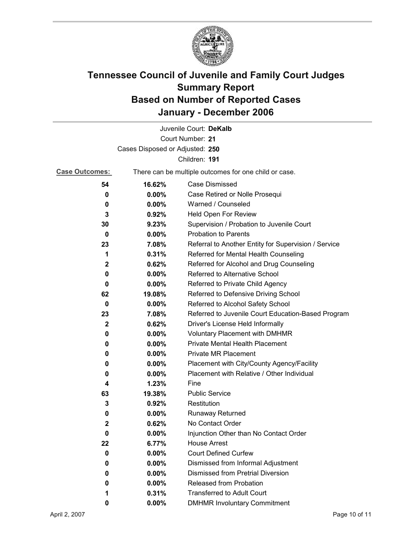![](_page_9_Picture_0.jpeg)

|                                 |          | Juvenile Court: DeKalb                                       |  |  |
|---------------------------------|----------|--------------------------------------------------------------|--|--|
| Court Number: 21                |          |                                                              |  |  |
| Cases Disposed or Adjusted: 250 |          |                                                              |  |  |
| Children: 191                   |          |                                                              |  |  |
| <b>Case Outcomes:</b>           |          | There can be multiple outcomes for one child or case.        |  |  |
| 54                              | 16.62%   | <b>Case Dismissed</b>                                        |  |  |
| 0                               | $0.00\%$ | Case Retired or Nolle Prosequi                               |  |  |
| 0                               | 0.00%    | Warned / Counseled                                           |  |  |
| 3                               | 0.92%    | Held Open For Review                                         |  |  |
| 30                              | 9.23%    | Supervision / Probation to Juvenile Court                    |  |  |
| 0                               | $0.00\%$ | <b>Probation to Parents</b>                                  |  |  |
| 23                              | 7.08%    | Referral to Another Entity for Supervision / Service         |  |  |
| 1                               | 0.31%    | Referred for Mental Health Counseling                        |  |  |
| 2                               | 0.62%    | Referred for Alcohol and Drug Counseling                     |  |  |
| 0                               | 0.00%    | Referred to Alternative School                               |  |  |
| 0                               | $0.00\%$ | Referred to Private Child Agency                             |  |  |
| 62                              | 19.08%   | Referred to Defensive Driving School                         |  |  |
| 0                               | $0.00\%$ | Referred to Alcohol Safety School                            |  |  |
| 23                              | 7.08%    | Referred to Juvenile Court Education-Based Program           |  |  |
| $\mathbf{2}$                    | 0.62%    | Driver's License Held Informally                             |  |  |
| 0                               | $0.00\%$ | <b>Voluntary Placement with DMHMR</b>                        |  |  |
| 0                               | 0.00%    | Private Mental Health Placement                              |  |  |
| 0                               | $0.00\%$ | <b>Private MR Placement</b>                                  |  |  |
| 0                               | $0.00\%$ | Placement with City/County Agency/Facility                   |  |  |
| 0                               | $0.00\%$ | Placement with Relative / Other Individual                   |  |  |
| 4                               | 1.23%    | Fine                                                         |  |  |
| 63                              | 19.38%   | <b>Public Service</b>                                        |  |  |
| 3                               | 0.92%    | Restitution                                                  |  |  |
| 0                               | 0.00%    | <b>Runaway Returned</b>                                      |  |  |
| $\mathbf 2$                     | 0.62%    | No Contact Order                                             |  |  |
| 0                               | 0.00%    | Injunction Other than No Contact Order                       |  |  |
| 22                              | 6.77%    | <b>House Arrest</b>                                          |  |  |
| 0                               | $0.00\%$ | <b>Court Defined Curfew</b>                                  |  |  |
| 0                               | $0.00\%$ | Dismissed from Informal Adjustment                           |  |  |
| 0                               | $0.00\%$ | <b>Dismissed from Pretrial Diversion</b>                     |  |  |
| 0                               | 0.00%    | Released from Probation<br><b>Transferred to Adult Court</b> |  |  |
| 1                               | 0.31%    |                                                              |  |  |
| 0                               | 0.00%    | <b>DMHMR Involuntary Commitment</b>                          |  |  |